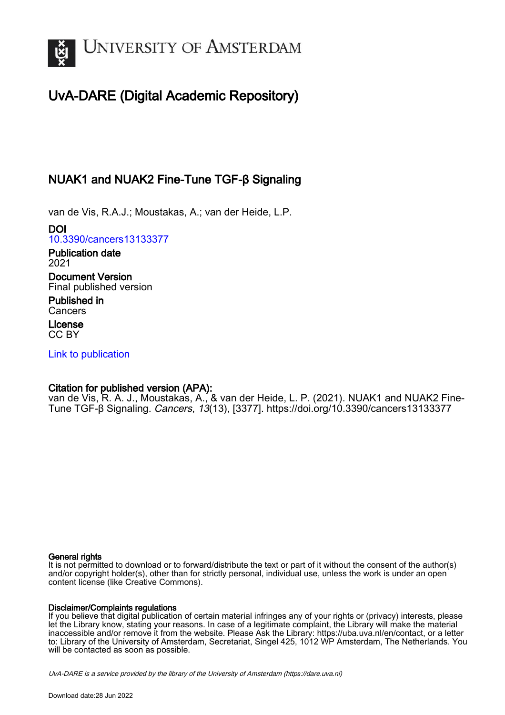

# UvA-DARE (Digital Academic Repository)

# NUAK1 and NUAK2 Fine-Tune TGF-β Signaling

van de Vis, R.A.J.; Moustakas, A.; van der Heide, L.P.

DOI [10.3390/cancers13133377](https://doi.org/10.3390/cancers13133377)

Publication date 2021 Document Version

Final published version

Published in **Cancers** 

License CC BY

[Link to publication](https://dare.uva.nl/personal/pure/en/publications/nuak1-and-nuak2-finetune-tgf-signaling(71c6c3bc-8d25-4408-9cdc-58d73d116abc).html)

## Citation for published version (APA):

van de Vis, R. A. J., Moustakas, A., & van der Heide, L. P. (2021). NUAK1 and NUAK2 Fine-Tune TGF-β Signaling. Cancers, 13(13), [3377].<https://doi.org/10.3390/cancers13133377>

### General rights

It is not permitted to download or to forward/distribute the text or part of it without the consent of the author(s) and/or copyright holder(s), other than for strictly personal, individual use, unless the work is under an open content license (like Creative Commons).

### Disclaimer/Complaints regulations

If you believe that digital publication of certain material infringes any of your rights or (privacy) interests, please let the Library know, stating your reasons. In case of a legitimate complaint, the Library will make the material inaccessible and/or remove it from the website. Please Ask the Library: https://uba.uva.nl/en/contact, or a letter to: Library of the University of Amsterdam, Secretariat, Singel 425, 1012 WP Amsterdam, The Netherlands. You will be contacted as soon as possible.

UvA-DARE is a service provided by the library of the University of Amsterdam (http*s*://dare.uva.nl)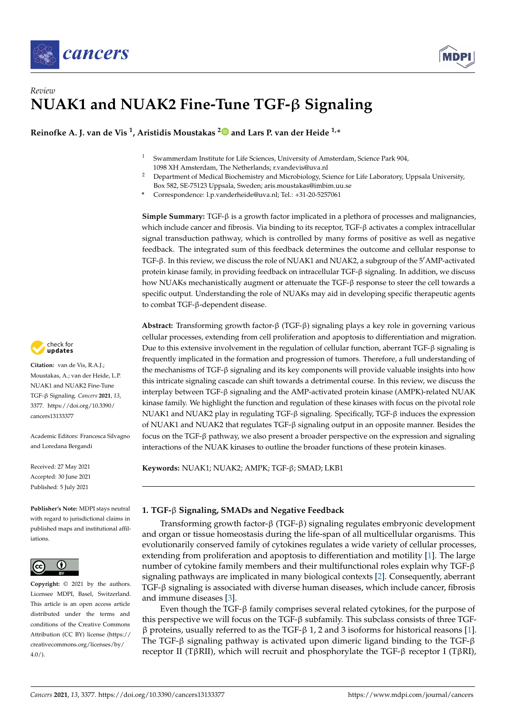



# *Review* **NUAK1 and NUAK2 Fine-Tune TGF-**β **Signaling**

**Reinofke A. J. van de Vis <sup>1</sup> , Aristidis Moustakas [2](https://orcid.org/0000-0001-9131-3827) and Lars P. van der Heide 1,\***

- <sup>1</sup> Swammerdam Institute for Life Sciences, University of Amsterdam, Science Park 904, 1098 XH Amsterdam, The Netherlands; r.vandevis@uva.nl
- <sup>2</sup> Department of Medical Biochemistry and Microbiology, Science for Life Laboratory, Uppsala University, Box 582, SE-75123 Uppsala, Sweden; aris.moustakas@imbim.uu.se
- **\*** Correspondence: l.p.vanderheide@uva.nl; Tel.: +31-20-5257061

**Simple Summary:** TGF-β is a growth factor implicated in a plethora of processes and malignancies, which include cancer and fibrosis. Via binding to its receptor, TGF-β activates a complex intracellular signal transduction pathway, which is controlled by many forms of positive as well as negative feedback. The integrated sum of this feedback determines the outcome and cellular response to TGF-β. In this review, we discuss the role of NUAK1 and NUAK2, a subgroup of the 5' AMP-activated protein kinase family, in providing feedback on intracellular TGF-β signaling. In addition, we discuss how NUAKs mechanistically augment or attenuate the TGF-β response to steer the cell towards a specific output. Understanding the role of NUAKs may aid in developing specific therapeutic agents to combat TGF-β-dependent disease.

**Abstract:** Transforming growth factor-β (TGF-β) signaling plays a key role in governing various cellular processes, extending from cell proliferation and apoptosis to differentiation and migration. Due to this extensive involvement in the regulation of cellular function, aberrant TGF-β signaling is frequently implicated in the formation and progression of tumors. Therefore, a full understanding of the mechanisms of TGF-β signaling and its key components will provide valuable insights into how this intricate signaling cascade can shift towards a detrimental course. In this review, we discuss the interplay between TGF-β signaling and the AMP-activated protein kinase (AMPK)-related NUAK kinase family. We highlight the function and regulation of these kinases with focus on the pivotal role NUAK1 and NUAK2 play in regulating TGF-β signaling. Specifically, TGF-β induces the expression of NUAK1 and NUAK2 that regulates TGF-β signaling output in an opposite manner. Besides the focus on the TGF-β pathway, we also present a broader perspective on the expression and signaling interactions of the NUAK kinases to outline the broader functions of these protein kinases.

**Keywords:** NUAK1; NUAK2; AMPK; TGF-β; SMAD; LKB1

### **1. TGF-**β **Signaling, SMADs and Negative Feedback**

Transforming growth factor-β (TGF-β) signaling regulates embryonic development and organ or tissue homeostasis during the life-span of all multicellular organisms. This evolutionarily conserved family of cytokines regulates a wide variety of cellular processes, extending from proliferation and apoptosis to differentiation and motility [\[1\]](#page-14-0). The large number of cytokine family members and their multifunctional roles explain why TGF-β signaling pathways are implicated in many biological contexts [\[2\]](#page-14-1). Consequently, aberrant TGF-β signaling is associated with diverse human diseases, which include cancer, fibrosis and immune diseases [\[3\]](#page-14-2).

Even though the TGF- $\beta$  family comprises several related cytokines, for the purpose of this perspective we will focus on the TGF-β subfamily. This subclass consists of three TGFβ proteins, usually referred to as the TGF-β 1, 2 and 3 isoforms for historical reasons [\[1\]](#page-14-0). The TGF-β signaling pathway is activated upon dimeric ligand binding to the TGF-β receptor II (TβRII), which will recruit and phosphorylate the TGF-β receptor I (TβRI),



**Citation:** van de Vis, R.A.J.; Moustakas, A.; van der Heide, L.P. NUAK1 and NUAK2 Fine-Tune TGF-β Signaling. *Cancers* **2021**, *13*, 3377. [https://doi.org/10.3390/](https://doi.org/10.3390/cancers13133377) [cancers13133377](https://doi.org/10.3390/cancers13133377)

Academic Editors: Francesca Silvagno and Loredana Bergandi

Received: 27 May 2021 Accepted: 30 June 2021 Published: 5 July 2021

**Publisher's Note:** MDPI stays neutral with regard to jurisdictional claims in published maps and institutional affiliations.



**Copyright:** © 2021 by the authors. Licensee MDPI, Basel, Switzerland. This article is an open access article distributed under the terms and conditions of the Creative Commons Attribution (CC BY) license (https:/[/](https://creativecommons.org/licenses/by/4.0/) [creativecommons.org/licenses/by/](https://creativecommons.org/licenses/by/4.0/)  $4.0/$ ).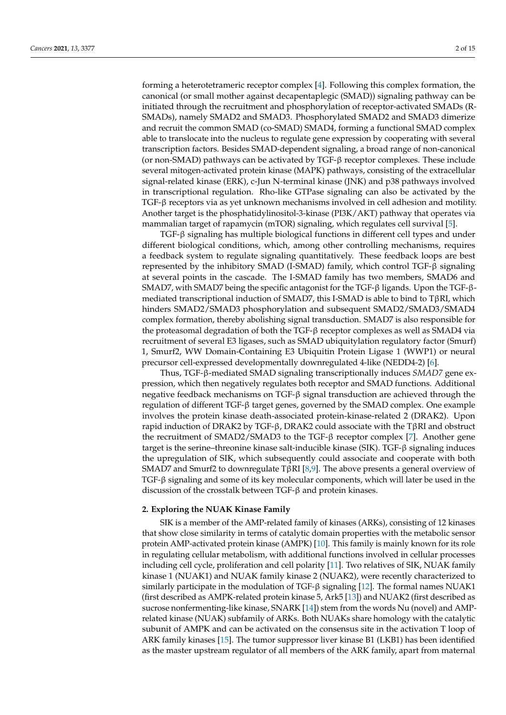forming a heterotetrameric receptor complex [\[4\]](#page-14-3). Following this complex formation, the canonical (or small mother against decapentaplegic (SMAD)) signaling pathway can be initiated through the recruitment and phosphorylation of receptor-activated SMADs (R-SMADs), namely SMAD2 and SMAD3. Phosphorylated SMAD2 and SMAD3 dimerize and recruit the common SMAD (co-SMAD) SMAD4, forming a functional SMAD complex able to translocate into the nucleus to regulate gene expression by cooperating with several transcription factors. Besides SMAD-dependent signaling, a broad range of non-canonical (or non-SMAD) pathways can be activated by TGF-β receptor complexes. These include several mitogen-activated protein kinase (MAPK) pathways, consisting of the extracellular signal-related kinase (ERK), c-Jun N-terminal kinase (JNK) and p38 pathways involved

in transcriptional regulation. Rho-like GTPase signaling can also be activated by the TGF-β receptors via as yet unknown mechanisms involved in cell adhesion and motility. Another target is the phosphatidylinositol-3-kinase (PI3K/AKT) pathway that operates via mammalian target of rapamycin (mTOR) signaling, which regulates cell survival [\[5\]](#page-14-4).

TGF-β signaling has multiple biological functions in different cell types and under different biological conditions, which, among other controlling mechanisms, requires a feedback system to regulate signaling quantitatively. These feedback loops are best represented by the inhibitory SMAD (I-SMAD) family, which control TGF-β signaling at several points in the cascade. The I-SMAD family has two members, SMAD6 and SMAD7, with SMAD7 being the specific antagonist for the TGF-β ligands. Upon the TGF-βmediated transcriptional induction of SMAD7, this I-SMAD is able to bind to T $\beta$ RI, which hinders SMAD2/SMAD3 phosphorylation and subsequent SMAD2/SMAD3/SMAD4 complex formation, thereby abolishing signal transduction. SMAD7 is also responsible for the proteasomal degradation of both the TGF-β receptor complexes as well as SMAD4 via recruitment of several E3 ligases, such as SMAD ubiquitylation regulatory factor (Smurf) 1, Smurf2, WW Domain-Containing E3 Ubiquitin Protein Ligase 1 (WWP1) or neural precursor cell-expressed developmentally downregulated 4-like (NEDD4-2) [\[6\]](#page-14-5).

Thus, TGF-β-mediated SMAD signaling transcriptionally induces *SMAD7* gene expression, which then negatively regulates both receptor and SMAD functions. Additional negative feedback mechanisms on TGF-β signal transduction are achieved through the regulation of different TGF-β target genes, governed by the SMAD complex. One example involves the protein kinase death-associated protein-kinase-related 2 (DRAK2). Upon rapid induction of DRAK2 by TGF-β, DRAK2 could associate with the TβRI and obstruct the recruitment of SMAD2/SMAD3 to the TGF- $\beta$  receptor complex [\[7\]](#page-14-6). Another gene target is the serine–threonine kinase salt-inducible kinase (SIK). TGF-β signaling induces the upregulation of SIK, which subsequently could associate and cooperate with both SMAD7 and Smurf2 to downregulate TβRI [\[8,](#page-14-7)[9\]](#page-14-8). The above presents a general overview of TGF-β signaling and some of its key molecular components, which will later be used in the discussion of the crosstalk between TGF-β and protein kinases.

#### **2. Exploring the NUAK Kinase Family**

SIK is a member of the AMP-related family of kinases (ARKs), consisting of 12 kinases that show close similarity in terms of catalytic domain properties with the metabolic sensor protein AMP-activated protein kinase (AMPK) [\[10\]](#page-14-9). This family is mainly known for its role in regulating cellular metabolism, with additional functions involved in cellular processes including cell cycle, proliferation and cell polarity [\[11\]](#page-14-10). Two relatives of SIK, NUAK family kinase 1 (NUAK1) and NUAK family kinase 2 (NUAK2), were recently characterized to similarly participate in the modulation of TGF-β signaling [\[12\]](#page-14-11). The formal names NUAK1 (first described as AMPK-related protein kinase 5, Ark5 [\[13\]](#page-14-12)) and NUAK2 (first described as sucrose nonfermenting-like kinase, SNARK [\[14\]](#page-14-13)) stem from the words Nu (novel) and AMPrelated kinase (NUAK) subfamily of ARKs. Both NUAKs share homology with the catalytic subunit of AMPK and can be activated on the consensus site in the activation T loop of ARK family kinases [\[15\]](#page-14-14). The tumor suppressor liver kinase B1 (LKB1) has been identified as the master upstream regulator of all members of the ARK family, apart from maternal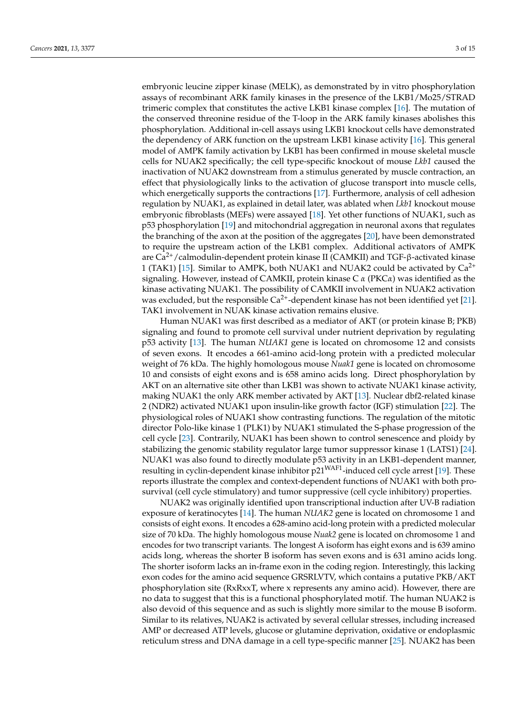embryonic leucine zipper kinase (MELK), as demonstrated by in vitro phosphorylation assays of recombinant ARK family kinases in the presence of the LKB1/Mo25/STRAD trimeric complex that constitutes the active LKB1 kinase complex [\[16\]](#page-14-15). The mutation of the conserved threonine residue of the T-loop in the ARK family kinases abolishes this phosphorylation. Additional in-cell assays using LKB1 knockout cells have demonstrated the dependency of ARK function on the upstream LKB1 kinase activity [\[16\]](#page-14-15). This general model of AMPK family activation by LKB1 has been confirmed in mouse skeletal muscle cells for NUAK2 specifically; the cell type-specific knockout of mouse *Lkb1* caused the inactivation of NUAK2 downstream from a stimulus generated by muscle contraction, an effect that physiologically links to the activation of glucose transport into muscle cells, which energetically supports the contractions [\[17\]](#page-14-16). Furthermore, analysis of cell adhesion regulation by NUAK1, as explained in detail later, was ablated when *Lkb1* knockout mouse embryonic fibroblasts (MEFs) were assayed [\[18\]](#page-14-17). Yet other functions of NUAK1, such as p53 phosphorylation [\[19\]](#page-14-18) and mitochondrial aggregation in neuronal axons that regulates the branching of the axon at the position of the aggregates [\[20\]](#page-14-19), have been demonstrated to require the upstream action of the LKB1 complex. Additional activators of AMPK are Ca2+/calmodulin-dependent protein kinase II (CAMKII) and TGF-β-activated kinase 1 (TAK1) [\[15\]](#page-14-14). Similar to AMPK, both NUAK1 and NUAK2 could be activated by  $Ca^{2+}$ signaling. However, instead of CAMKII, protein kinase C *α* (PKC*α*) was identified as the kinase activating NUAK1. The possibility of CAMKII involvement in NUAK2 activation was excluded, but the responsible  $Ca^{2+}$ -dependent kinase has not been identified yet [\[21\]](#page-14-20). TAK1 involvement in NUAK kinase activation remains elusive.

Human NUAK1 was first described as a mediator of AKT (or protein kinase B; PKB) signaling and found to promote cell survival under nutrient deprivation by regulating p53 activity [\[13\]](#page-14-12). The human *NUAK1* gene is located on chromosome 12 and consists of seven exons. It encodes a 661-amino acid-long protein with a predicted molecular weight of 76 kDa. The highly homologous mouse *Nuak1* gene is located on chromosome 10 and consists of eight exons and is 658 amino acids long. Direct phosphorylation by AKT on an alternative site other than LKB1 was shown to activate NUAK1 kinase activity, making NUAK1 the only ARK member activated by AKT [\[13\]](#page-14-12). Nuclear dbf2-related kinase 2 (NDR2) activated NUAK1 upon insulin-like growth factor (IGF) stimulation [\[22\]](#page-14-21). The physiological roles of NUAK1 show contrasting functions. The regulation of the mitotic director Polo-like kinase 1 (PLK1) by NUAK1 stimulated the S-phase progression of the cell cycle [\[23\]](#page-14-22). Contrarily, NUAK1 has been shown to control senescence and ploidy by stabilizing the genomic stability regulator large tumor suppressor kinase 1 (LATS1) [\[24\]](#page-14-23). NUAK1 was also found to directly modulate p53 activity in an LKB1-dependent manner, resulting in cyclin-dependent kinase inhibitor p21<sup>WAF1</sup>-induced cell cycle arrest [\[19\]](#page-14-18). These reports illustrate the complex and context-dependent functions of NUAK1 with both prosurvival (cell cycle stimulatory) and tumor suppressive (cell cycle inhibitory) properties.

NUAK2 was originally identified upon transcriptional induction after UV-B radiation exposure of keratinocytes [\[14\]](#page-14-13). The human *NUAK2* gene is located on chromosome 1 and consists of eight exons. It encodes a 628-amino acid-long protein with a predicted molecular size of 70 kDa. The highly homologous mouse *Nuak2* gene is located on chromosome 1 and encodes for two transcript variants. The longest A isoform has eight exons and is 639 amino acids long, whereas the shorter B isoform has seven exons and is 631 amino acids long. The shorter isoform lacks an in-frame exon in the coding region. Interestingly, this lacking exon codes for the amino acid sequence GRSRLVTV, which contains a putative PKB/AKT phosphorylation site (RxRxxT, where x represents any amino acid). However, there are no data to suggest that this is a functional phosphorylated motif. The human NUAK2 is also devoid of this sequence and as such is slightly more similar to the mouse B isoform. Similar to its relatives, NUAK2 is activated by several cellular stresses, including increased AMP or decreased ATP levels, glucose or glutamine deprivation, oxidative or endoplasmic reticulum stress and DNA damage in a cell type-specific manner [\[25\]](#page-14-24). NUAK2 has been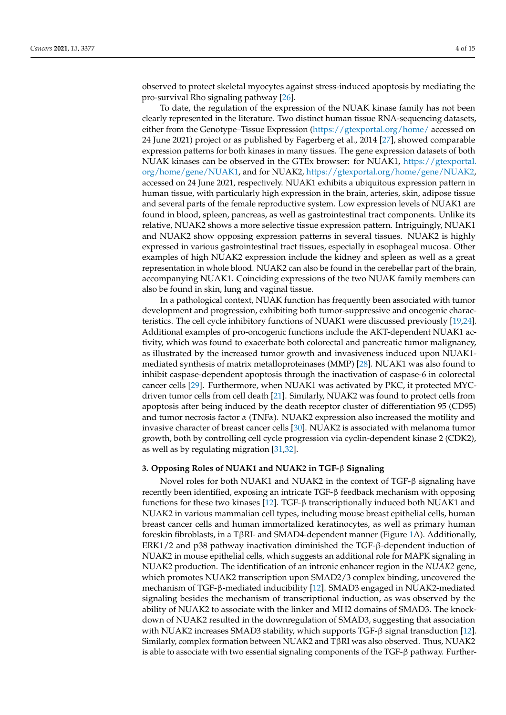observed to protect skeletal myocytes against stress-induced apoptosis by mediating the pro-survival Rho signaling pathway [\[26\]](#page-14-25).

To date, the regulation of the expression of the NUAK kinase family has not been clearly represented in the literature. Two distinct human tissue RNA-sequencing datasets, either from the Genotype–Tissue Expression [\(https://gtexportal.org/home/](https://gtexportal.org/home/) accessed on 24 June 2021) project or as published by Fagerberg et al., 2014 [\[27\]](#page-15-0), showed comparable expression patterns for both kinases in many tissues. The gene expression datasets of both NUAK kinases can be observed in the GTEx browser: for NUAK1, [https://gtexportal.](https://gtexportal.org/home/gene/NUAK1) [org/home/gene/NUAK1,](https://gtexportal.org/home/gene/NUAK1) and for NUAK2, [https://gtexportal.org/home/gene/NUAK2,](https://gtexportal.org/home/gene/NUAK2) accessed on 24 June 2021, respectively. NUAK1 exhibits a ubiquitous expression pattern in human tissue, with particularly high expression in the brain, arteries, skin, adipose tissue and several parts of the female reproductive system. Low expression levels of NUAK1 are found in blood, spleen, pancreas, as well as gastrointestinal tract components. Unlike its relative, NUAK2 shows a more selective tissue expression pattern. Intriguingly, NUAK1 and NUAK2 show opposing expression patterns in several tissues. NUAK2 is highly expressed in various gastrointestinal tract tissues, especially in esophageal mucosa. Other examples of high NUAK2 expression include the kidney and spleen as well as a great representation in whole blood. NUAK2 can also be found in the cerebellar part of the brain, accompanying NUAK1. Coinciding expressions of the two NUAK family members can also be found in skin, lung and vaginal tissue.

In a pathological context, NUAK function has frequently been associated with tumor development and progression, exhibiting both tumor-suppressive and oncogenic characteristics. The cell cycle inhibitory functions of NUAK1 were discussed previously [\[19,](#page-14-18)[24\]](#page-14-23). Additional examples of pro-oncogenic functions include the AKT-dependent NUAK1 activity, which was found to exacerbate both colorectal and pancreatic tumor malignancy, as illustrated by the increased tumor growth and invasiveness induced upon NUAK1 mediated synthesis of matrix metalloproteinases (MMP) [\[28\]](#page-15-1). NUAK1 was also found to inhibit caspase-dependent apoptosis through the inactivation of caspase-6 in colorectal cancer cells [\[29\]](#page-15-2). Furthermore, when NUAK1 was activated by PKC, it protected MYCdriven tumor cells from cell death [\[21\]](#page-14-20). Similarly, NUAK2 was found to protect cells from apoptosis after being induced by the death receptor cluster of differentiation 95 (CD95) and tumor necrosis factor *α* (TNF*α*). NUAK2 expression also increased the motility and invasive character of breast cancer cells [\[30\]](#page-15-3). NUAK2 is associated with melanoma tumor growth, both by controlling cell cycle progression via cyclin-dependent kinase 2 (CDK2), as well as by regulating migration [\[31](#page-15-4)[,32\]](#page-15-5).

#### **3. Opposing Roles of NUAK1 and NUAK2 in TGF-**β **Signaling**

Novel roles for both NUAK1 and NUAK2 in the context of TGF-β signaling have recently been identified, exposing an intricate TGF-β feedback mechanism with opposing functions for these two kinases [\[12\]](#page-14-11). TGF- $\beta$  transcriptionally induced both NUAK1 and NUAK2 in various mammalian cell types, including mouse breast epithelial cells, human breast cancer cells and human immortalized keratinocytes, as well as primary human foreskin fibroblasts, in a TβRI- and SMAD4-dependent manner (Figure [1A](#page-5-0)). Additionally, ERK1/2 and p38 pathway inactivation diminished the TGF-β-dependent induction of NUAK2 in mouse epithelial cells, which suggests an additional role for MAPK signaling in NUAK2 production. The identification of an intronic enhancer region in the *NUAK2* gene, which promotes NUAK2 transcription upon SMAD2/3 complex binding, uncovered the mechanism of TGF-β-mediated inducibility [\[12\]](#page-14-11). SMAD3 engaged in NUAK2-mediated signaling besides the mechanism of transcriptional induction, as was observed by the ability of NUAK2 to associate with the linker and MH2 domains of SMAD3. The knockdown of NUAK2 resulted in the downregulation of SMAD3, suggesting that association with NUAK2 increases SMAD3 stability, which supports TGF-β signal transduction [\[12\]](#page-14-11). Similarly, complex formation between NUAK2 and TβRI was also observed. Thus, NUAK2 is able to associate with two essential signaling components of the TGF-β pathway. Further-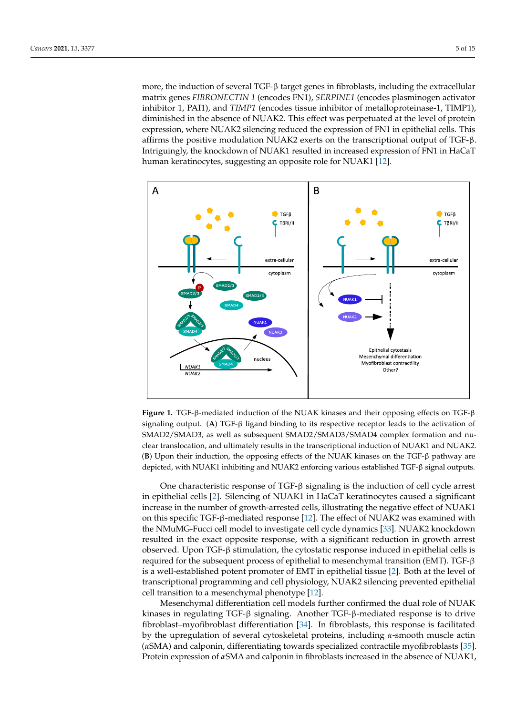more, the induction of several TGF-β target genes in fibroblasts, including the extracellular matrix genes *FIBRONECTIN 1* (encodes FN1), *SERPINE1* (encodes plasminogen activator inhibitor 1, PAI1), and *TIMP1* (encodes tissue inhibitor of metalloproteinase-1, TIMP1), diminished in the absence of NUAK2. This effect was perpetuated at the level of protein expression, where NUAK2 silencing reduced the expression of FN1 in epithelial cells. This affirms the positive modulation NUAK2 exerts on the transcriptional output of TGF-β. Intriguingly, the knockdown of NUAK1 resulted in increased expression of FN1 in HaCaT nungungny, are turbende fill to the children resulted in integrated function of the fillum integration of the  $\frac{1}{2}$ .

<span id="page-5-0"></span>

**Figure 1.** TGF-β-mediated induction of the NUAK kinases and their opposing effects on TGF-β naling output. (**A**) TGF-β ligand binding to its respective receptor leads to the activation of signaling output. (**A**) TGF-β ligand binding to its respective receptor leads to the activation of  $\text{SMAD2}/\text{SMAD3}$ , as well as subsequent  $\text{SMAD2}/\text{SMAD3}/\text{SMAD4}$  complex formation and nuclear translocation, and ultimately results in the transcriptional induction of NUAK1 and NUAK2. (B) Upon their induction, the opposing effects of the NUAK kinases on the TGF-β pathway are depicted, with NUAK1 inhibiting and NUAK2 enforcing various established TGF-β signal outputs.

One characteristic response of TGF-β signaling is the induction of cell cycle arrest in epithelial cells [\[2\]](#page-14-1). Silencing of NUAK1 in HaCaT keratinocytes caused a significant increase in the number of growth-arrested cells, illustrating the negative effect of NUAK1 on this specific TGF-β-mediated response [\[12\]](#page-14-11). The effect of NUAK2 was examined with  $\frac{1}{2}$ the NMuMG-Fucci cell model to investigate cell cycle dynamics [\[33\]](#page-15-6). NUAK2 knockdown resulted in the exact opposite response, with a significant reduction in growth arrest observed. Upon TGF-β stimulation, the cytostatic response induced in epithelial cells is required for the subsequent process of epithelial to mesenchymal transition (EMT). TGF- $\beta$ is a well-established potent promoter of EMT in epithelial tissue [\[2\]](#page-14-1). Both at the level of transcriptional programming and cell physiology, NUAK2 silencing prevented epithelial cell transition to a mesenchymal phenotype [\[12\]](#page-14-11).

Mesenchymal differentiation cell models further confirmed the dual role of NUAK kinases in regulating TGF-β signaling. Another TGF-β-mediated response is to drive fibroblast–myofibroblast differentiation  $[34]$ . In fibroblasts, this response is facilitated by the upregulation of several cytoskeletal proteins, including *α-*smooth muscle actin (*αSMA*) and calponin, differentiating towards specialized contractile myofibroblasts [\[35\]](#page-15-8). Protein expression of *α*SMA and calponin in fibroblasts increased in the absence of NUAK1,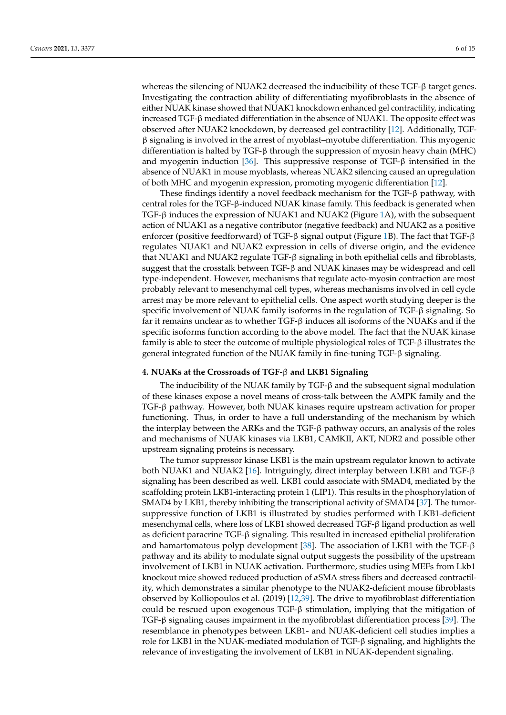whereas the silencing of NUAK2 decreased the inducibility of these TGF-β target genes. Investigating the contraction ability of differentiating myofibroblasts in the absence of either NUAK kinase showed that NUAK1 knockdown enhanced gel contractility, indicating increased TGF-β mediated differentiation in the absence of NUAK1. The opposite effect was observed after NUAK2 knockdown, by decreased gel contractility [\[12\]](#page-14-11). Additionally, TGF- $\beta$  signaling is involved in the arrest of myoblast–myotube differentiation. This myogenic differentiation is halted by TGF- $\beta$  through the suppression of myosin heavy chain (MHC) and myogenin induction [\[36\]](#page-15-9). This suppressive response of TGF-β intensified in the absence of NUAK1 in mouse myoblasts, whereas NUAK2 silencing caused an upregulation of both MHC and myogenin expression, promoting myogenic differentiation [\[12\]](#page-14-11).

These findings identify a novel feedback mechanism for the TGF-β pathway, with central roles for the TGF-β-induced NUAK kinase family. This feedback is generated when TGF-β induces the expression of NUAK1 and NUAK2 (Figure [1A](#page-5-0)), with the subsequent action of NUAK1 as a negative contributor (negative feedback) and NUAK2 as a positive enforcer (positive feedforward) of TGF-β signal output (Figure [1B](#page-5-0)). The fact that TGF-β regulates NUAK1 and NUAK2 expression in cells of diverse origin, and the evidence that NUAK1 and NUAK2 regulate TGF-β signaling in both epithelial cells and fibroblasts, suggest that the crosstalk between TGF-β and NUAK kinases may be widespread and cell type-independent. However, mechanisms that regulate acto-myosin contraction are most probably relevant to mesenchymal cell types, whereas mechanisms involved in cell cycle arrest may be more relevant to epithelial cells. One aspect worth studying deeper is the specific involvement of NUAK family isoforms in the regulation of TGF-β signaling. So far it remains unclear as to whether TGF-β induces all isoforms of the NUAKs and if the specific isoforms function according to the above model. The fact that the NUAK kinase family is able to steer the outcome of multiple physiological roles of TGF-β illustrates the general integrated function of the NUAK family in fine-tuning TGF-β signaling.

#### **4. NUAKs at the Crossroads of TGF-**β **and LKB1 Signaling**

The inducibility of the NUAK family by TGF-β and the subsequent signal modulation of these kinases expose a novel means of cross-talk between the AMPK family and the TGF-β pathway. However, both NUAK kinases require upstream activation for proper functioning. Thus, in order to have a full understanding of the mechanism by which the interplay between the ARKs and the  $TGF-\beta$  pathway occurs, an analysis of the roles and mechanisms of NUAK kinases via LKB1, CAMKII, AKT, NDR2 and possible other upstream signaling proteins is necessary.

The tumor suppressor kinase LKB1 is the main upstream regulator known to activate both NUAK1 and NUAK2 [\[16\]](#page-14-15). Intriguingly, direct interplay between LKB1 and TGF-β signaling has been described as well. LKB1 could associate with SMAD4, mediated by the scaffolding protein LKB1-interacting protein 1 (LIP1). This results in the phosphorylation of SMAD4 by LKB1, thereby inhibiting the transcriptional activity of SMAD4 [\[37\]](#page-15-10). The tumorsuppressive function of LKB1 is illustrated by studies performed with LKB1-deficient mesenchymal cells, where loss of LKB1 showed decreased TGF-β ligand production as well as deficient paracrine TGF-β signaling. This resulted in increased epithelial proliferation and hamartomatous polyp development [\[38\]](#page-15-11). The association of LKB1 with the TGF- $\beta$ pathway and its ability to modulate signal output suggests the possibility of the upstream involvement of LKB1 in NUAK activation. Furthermore, studies using MEFs from Lkb1 knockout mice showed reduced production of *α*SMA stress fibers and decreased contractility, which demonstrates a similar phenotype to the NUAK2-deficient mouse fibroblasts observed by Kolliopoulos et al. (2019) [\[12](#page-14-11)[,39\]](#page-15-12). The drive to myofibroblast differentiation could be rescued upon exogenous  $TGF-\beta$  stimulation, implying that the mitigation of TGF-β signaling causes impairment in the myofibroblast differentiation process [\[39\]](#page-15-12). The resemblance in phenotypes between LKB1- and NUAK-deficient cell studies implies a role for LKB1 in the NUAK-mediated modulation of TGF-β signaling, and highlights the relevance of investigating the involvement of LKB1 in NUAK-dependent signaling.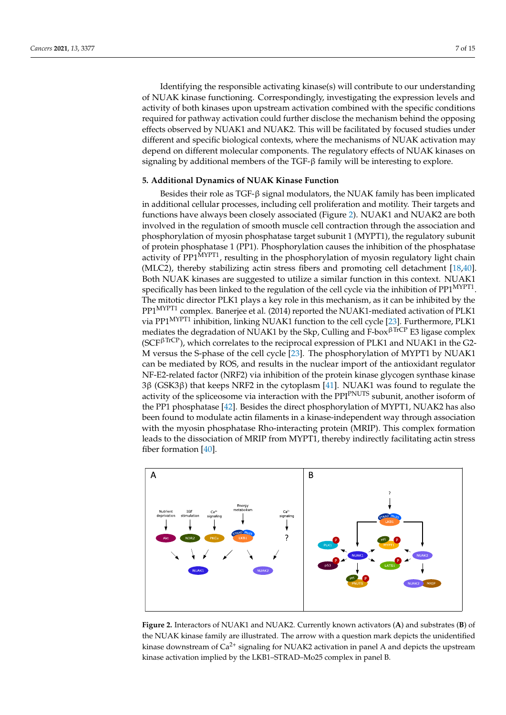Identifying the responsible activating kinase(s) will contribute to our understanding of NUAK kinase functioning. Correspondingly, investigating the expression levels and activity of both kinases upon upstream activation combined with the specific conditions required for pathway activation could further disclose the mechanism behind the opposing effects observed by NUAK1 and NUAK2. This will be facilitated by focused studies under different and specific biological contexts, where the mechanisms of NUAK activation may depend on different molecular components. The regulatory effects of NUAK kinases on signaling by additional members of the  $TGF-\beta$  family will be interesting to explore.

#### **5. Additional Dynamics of NUAK Kinase Function**

Besides their role as TGF-β signal modulators, the NUAK family has been implicated in additional cellular processes, including cell proliferation and motility. Their targets and functions have always been closely associated (Figure [2\)](#page-7-0). NUAK1 and NUAK2 are both involved in the regulation of smooth muscle cell contraction through the association and phosphorylation of myosin phosphatase target subunit 1 (MYPT1), the regulatory subunit of protein phosphatase 1 (PP1). Phosphorylation causes the inhibition of the phosphatase activity of PP1<sup>MYPT1</sup>, resulting in the phosphorylation of myosin regulatory light chain (MLC2), thereby stabilizing actin stress fibers and promoting cell detachment [\[18,](#page-14-17)[40\]](#page-15-13). Both NUAK kinases are suggested to utilize a similar function in this context. NUAK1 specifically has been linked to the regulation of the cell cycle via the inhibition of  $\text{PPI}^{\text{MYPI}}$ . The mitotic director PLK1 plays a key role in this mechanism, as it can be inhibited by the PP1MYPT1 complex. Banerjee et al. (2014) reported the NUAK1-mediated activation of PLK1 via PP1<sup>MYPT1</sup> inhibition, linking NUAK1 function to the cell cycle [\[23\]](#page-14-22). Furthermore, PLK1 mediates the degradation of NUAK1 by the Skp, Culling and F-box<sup> $\beta$ TrCP</sup> E3 ligase complex ( $SCF<sup>\beta</sup>TrCP$ ), which correlates to the reciprocal expression of PLK1 and NUAK1 in the G2-M versus the S-phase of the cell cycle [\[23\]](#page-14-22). The phosphorylation of MYPT1 by NUAK1 can be mediated by ROS, and results in the nuclear import of the antioxidant regulator NF-E2-related factor (NRF2) via inhibition of the protein kinase glycogen synthase kinase 3β (GSK3β) that keeps NRF2 in the cytoplasm [\[41\]](#page-15-14). NUAK1 was found to regulate the activity of the spliceosome via interaction with the PPI<sup>PNUTS</sup> subunit, another isoform of the PP1 phosphatase [\[42\]](#page-15-15). Besides the direct phosphorylation of MYPT1, NUAK2 has also been found to modulate actin filaments in a kinase-independent way through association expression to the matrix and carrier and to play a significant role in squamous with the myosin phosphatase Rho-interacting protein (MRIP). This complex formation And the dissociation of MRIP from MYPT1, thereby indirectly facilitating actin stress<br>leads to the dissociation of MRIP from MYPT1, thereby indirectly facilitating actin stress fiber formation  $[40]$ . NUMBER OF A SIMILAR CONTRACT TO A SIMILAR OPPOSITION TO A SIMILAR CONTRACT OF THE SIMILAR SIGNAL SIGNAL SIGNAL SIGNAL SIGNAL SIGNAL SIGNAL SIGNAL SIGNAL SIGNAL SIGNAL SIGNAL SIGNAL SIGNAL SIGNAL SIGNAL SIGNAL SIGNAL SIGNAL

<span id="page-7-0"></span>

**Figure 2.** Interactors of NUAK1 and NUAK2. Currently known activators (**A**) and substrates **Figure 2.** Interactors of NUAK1 and NUAK2. Currently known activators (**A**) and substrates (**B**) of the NUAK kinase family are illustrated. The arrow with a question mark depicts the unidentified kinase downstream of Ca<sup>2+</sup> signaling for NUAK2 activation in panel A and depicts the upstream kinase activation implied by the LKB1–STRAD–Mo25 complex in panel B.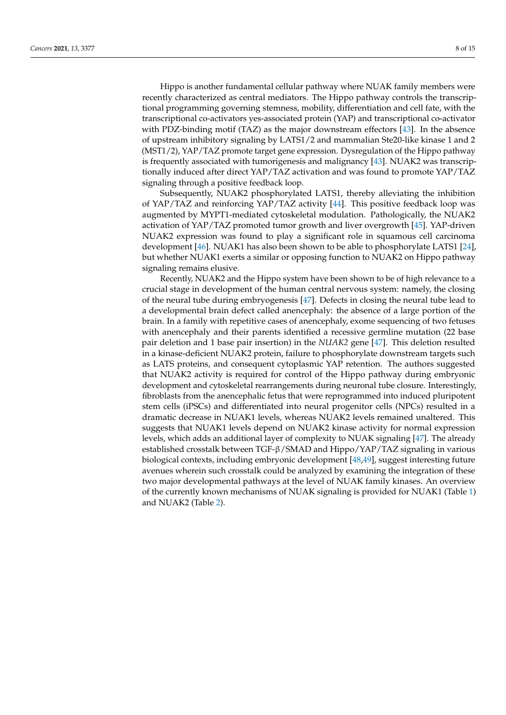Hippo is another fundamental cellular pathway where NUAK family members were recently characterized as central mediators. The Hippo pathway controls the transcriptional programming governing stemness, mobility, differentiation and cell fate, with the transcriptional co-activators yes-associated protein (YAP) and transcriptional co-activator with PDZ-binding motif (TAZ) as the major downstream effectors [\[43\]](#page-15-16). In the absence of upstream inhibitory signaling by LATS1/2 and mammalian Ste20-like kinase 1 and 2 (MST1/2), YAP/TAZ promote target gene expression. Dysregulation of the Hippo pathway is frequently associated with tumorigenesis and malignancy [\[43\]](#page-15-16). NUAK2 was transcriptionally induced after direct YAP/TAZ activation and was found to promote YAP/TAZ signaling through a positive feedback loop.

Subsequently, NUAK2 phosphorylated LATS1, thereby alleviating the inhibition of YAP/TAZ and reinforcing YAP/TAZ activity [\[44\]](#page-15-17). This positive feedback loop was augmented by MYPT1-mediated cytoskeletal modulation. Pathologically, the NUAK2 activation of YAP/TAZ promoted tumor growth and liver overgrowth [\[45\]](#page-15-18). YAP-driven NUAK2 expression was found to play a significant role in squamous cell carcinoma development [\[46\]](#page-15-19). NUAK1 has also been shown to be able to phosphorylate LATS1 [\[24\]](#page-14-23), but whether NUAK1 exerts a similar or opposing function to NUAK2 on Hippo pathway signaling remains elusive.

Recently, NUAK2 and the Hippo system have been shown to be of high relevance to a crucial stage in development of the human central nervous system: namely, the closing of the neural tube during embryogenesis [\[47\]](#page-15-20). Defects in closing the neural tube lead to a developmental brain defect called anencephaly: the absence of a large portion of the brain. In a family with repetitive cases of anencephaly, exome sequencing of two fetuses with anencephaly and their parents identified a recessive germline mutation (22 base pair deletion and 1 base pair insertion) in the *NUAK2* gene [\[47\]](#page-15-20). This deletion resulted in a kinase-deficient NUAK2 protein, failure to phosphorylate downstream targets such as LATS proteins, and consequent cytoplasmic YAP retention. The authors suggested that NUAK2 activity is required for control of the Hippo pathway during embryonic development and cytoskeletal rearrangements during neuronal tube closure. Interestingly, fibroblasts from the anencephalic fetus that were reprogrammed into induced pluripotent stem cells (iPSCs) and differentiated into neural progenitor cells (NPCs) resulted in a dramatic decrease in NUAK1 levels, whereas NUAK2 levels remained unaltered. This suggests that NUAK1 levels depend on NUAK2 kinase activity for normal expression levels, which adds an additional layer of complexity to NUAK signaling [\[47\]](#page-15-20). The already established crosstalk between TGF-β/SMAD and Hippo/YAP/TAZ signaling in various biological contexts, including embryonic development [\[48,](#page-15-21)[49\]](#page-15-22), suggest interesting future avenues wherein such crosstalk could be analyzed by examining the integration of these two major developmental pathways at the level of NUAK family kinases. An overview of the currently known mechanisms of NUAK signaling is provided for NUAK1 (Table [1\)](#page-10-0) and NUAK2 (Table [2\)](#page-12-0).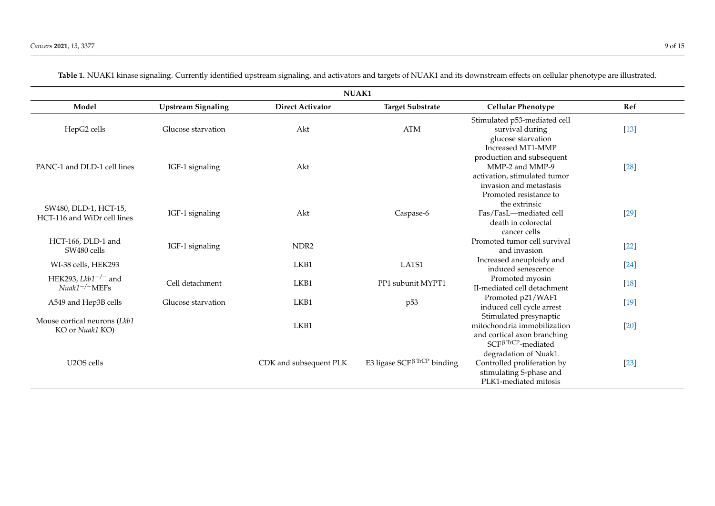| NUAK1                                                 |                           |                         |                                               |                                                                                                                                       |        |  |
|-------------------------------------------------------|---------------------------|-------------------------|-----------------------------------------------|---------------------------------------------------------------------------------------------------------------------------------------|--------|--|
| Model                                                 | <b>Upstream Signaling</b> | <b>Direct Activator</b> | <b>Target Substrate</b>                       | <b>Cellular Phenotype</b>                                                                                                             | Ref    |  |
| HepG2 cells                                           | Glucose starvation        | Akt                     | <b>ATM</b>                                    | Stimulated p53-mediated cell<br>survival during<br>glucose starvation<br>Increased MT1-MMP                                            | $[13]$ |  |
| PANC-1 and DLD-1 cell lines                           | IGF-1 signaling           | Akt                     |                                               | production and subsequent<br>MMP-2 and MMP-9<br>activation, stimulated tumor<br>invasion and metastasis                               | $[28]$ |  |
| SW480, DLD-1, HCT-15,<br>HCT-116 and WiDr cell lines  | IGF-1 signaling           | Akt                     | Caspase-6                                     | Promoted resistance to<br>the extrinsic<br>Fas/FasL-mediated cell<br>death in colorectal<br>cancer cells                              | $[29]$ |  |
| HCT-166, DLD-1 and<br>SW480 cells                     | IGF-1 signaling           | NDR <sub>2</sub>        |                                               | Promoted tumor cell survival<br>and invasion                                                                                          | $[22]$ |  |
| WI-38 cells, HEK293                                   |                           | LKB1                    | LATS1                                         | Increased aneuploidy and<br>induced senescence                                                                                        | $[24]$ |  |
| HEK293, Lkb1 <sup>-/-</sup> and<br>$Nuak1^{-/-}$ MEFs | Cell detachment           | LKB1                    | PP1 subunit MYPT1                             | Promoted myosin<br>II-mediated cell detachment                                                                                        | $[18]$ |  |
| A549 and Hep3B cells                                  | Glucose starvation        | LKB1                    | p <sub>53</sub>                               | Promoted p21/WAF1<br>induced cell cycle arrest                                                                                        | $[19]$ |  |
| Mouse cortical neurons (Lkb1<br>KO or Nuak1 KO)       |                           | LKB1                    |                                               | Stimulated presynaptic<br>mitochondria immobilization<br>and cortical axon branching                                                  | $[20]$ |  |
| U <sub>2</sub> OS cells                               |                           | CDK and subsequent PLK  | E3 ligase SCF $\beta$ <sup>TrCP</sup> binding | $SCF\beta TrCP$ -mediated<br>degradation of Nuak1.<br>Controlled proliferation by<br>stimulating S-phase and<br>PLK1-mediated mitosis | $[23]$ |  |

Table 1. NUAK1 kinase signaling. Currently identified upstream signaling, and activators and targets of NUAK1 and its downstream effects on cellular phenotype are illustrated.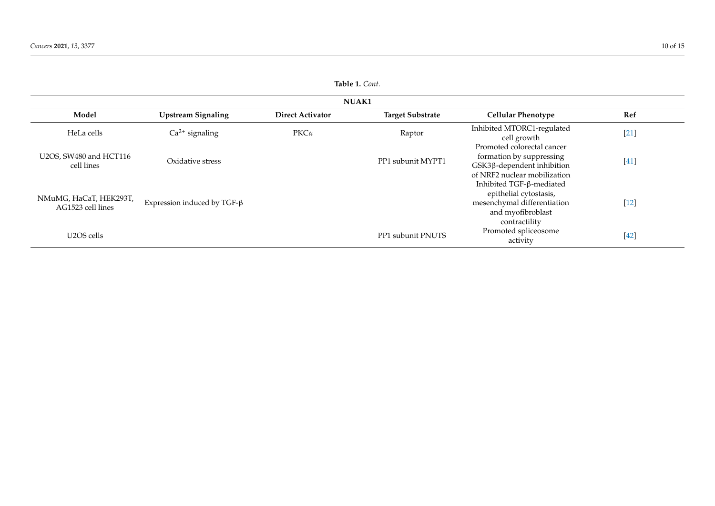<span id="page-10-0"></span>

| Table 1. Cont.                              |                                    |                         |                         |                                                                                                                         |        |  |
|---------------------------------------------|------------------------------------|-------------------------|-------------------------|-------------------------------------------------------------------------------------------------------------------------|--------|--|
| <b>NUAK1</b>                                |                                    |                         |                         |                                                                                                                         |        |  |
| Model                                       | <b>Upstream Signaling</b>          | <b>Direct Activator</b> | <b>Target Substrate</b> | <b>Cellular Phenotype</b>                                                                                               | Ref    |  |
| HeLa cells                                  | $Ca2+$ signaling                   | $PKC\alpha$             | Raptor                  | Inhibited MTORC1-regulated<br>cell growth                                                                               | $[21]$ |  |
| U2OS, SW480 and HCT116<br>cell lines        | Oxidative stress                   |                         | PP1 subunit MYPT1       | Promoted colorectal cancer<br>formation by suppressing<br>GSK3β-dependent inhibition<br>of NRF2 nuclear mobilization    | $[41]$ |  |
| NMuMG, HaCaT, HEK293T,<br>AG1523 cell lines | Expression induced by TGF- $\beta$ |                         |                         | Inhibited TGF-β-mediated<br>epithelial cytostasis,<br>mesenchymal differentiation<br>and myofibroblast<br>contractility | $[12]$ |  |
| U2OS cells                                  |                                    |                         | PP1 subunit PNUTS       | Promoted spliceosome<br>activity                                                                                        | $[42]$ |  |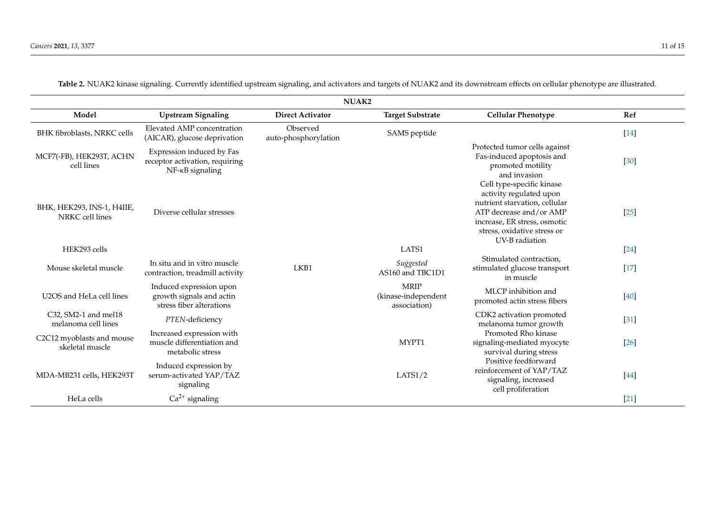| NUAK2                                         |                                                                                            |                                  |                                                    |                                                                                                                                                                                                   |        |
|-----------------------------------------------|--------------------------------------------------------------------------------------------|----------------------------------|----------------------------------------------------|---------------------------------------------------------------------------------------------------------------------------------------------------------------------------------------------------|--------|
| Model                                         | <b>Upstream Signaling</b>                                                                  | <b>Direct Activator</b>          | <b>Target Substrate</b>                            | <b>Cellular Phenotype</b>                                                                                                                                                                         | Ref    |
| BHK fibroblasts, NRKC cells                   | Elevated AMP concentration<br>(AICAR), glucose deprivation                                 | Observed<br>auto-phosphorylation | SAMS peptide                                       |                                                                                                                                                                                                   | $[14]$ |
| MCF7(-FB), HEK293T, ACHN<br>cell lines        | Expression induced by Fas<br>receptor activation, requiring<br>$NF$ - $\kappa$ B signaling |                                  |                                                    | Protected tumor cells against<br>Fas-induced apoptosis and<br>promoted motility<br>and invasion                                                                                                   | [30]   |
| BHK, HEK293, INS-1, H4IIE,<br>NRKC cell lines | Diverse cellular stresses                                                                  |                                  |                                                    | Cell type-specific kinase<br>activity regulated upon<br>nutrient starvation, cellular<br>ATP decrease and/or AMP<br>increase, ER stress, osmotic<br>stress, oxidative stress or<br>UV-B radiation | $[25]$ |
| HEK293 cells                                  |                                                                                            |                                  | LATS1                                              |                                                                                                                                                                                                   | $[24]$ |
| Mouse skeletal muscle                         | In situ and in vitro muscle<br>contraction, treadmill activity                             | LKB1                             | Suggested<br>AS160 and TBC1D1                      | Stimulated contraction,<br>stimulated glucose transport<br>in muscle                                                                                                                              | $[17]$ |
| U2OS and HeLa cell lines                      | Induced expression upon<br>growth signals and actin<br>stress fiber alterations            |                                  | <b>MRIP</b><br>(kinase-independent<br>association) | MLCP inhibition and<br>promoted actin stress fibers                                                                                                                                               | [40]   |
| C32, SM2-1 and mel18<br>melanoma cell lines   | PTEN-deficiency                                                                            |                                  |                                                    | CDK2 activation promoted<br>melanoma tumor growth                                                                                                                                                 | [31]   |
| C2C12 myoblasts and mouse<br>skeletal muscle  | Increased expression with<br>muscle differentiation and<br>metabolic stress                |                                  | MYPT1                                              | Promoted Rho kinase<br>signaling-mediated myocyte<br>survival during stress                                                                                                                       | $[26]$ |
| MDA-MB231 cells, HEK293T                      | Induced expression by<br>serum-activated YAP/TAZ<br>signaling                              |                                  | LATS1/2                                            | Positive feedforward<br>reinforcement of YAP/TAZ<br>signaling, increased<br>cell proliferation                                                                                                    | [44]   |
| HeLa cells                                    | $Ca2+$ signaling                                                                           |                                  |                                                    |                                                                                                                                                                                                   | $[21]$ |

**Table 2.** NUAK2 kinase signaling. Currently identified upstream signaling, and activators and targets of NUAK2 and its downstream effects on cellular phenotype are illustrated.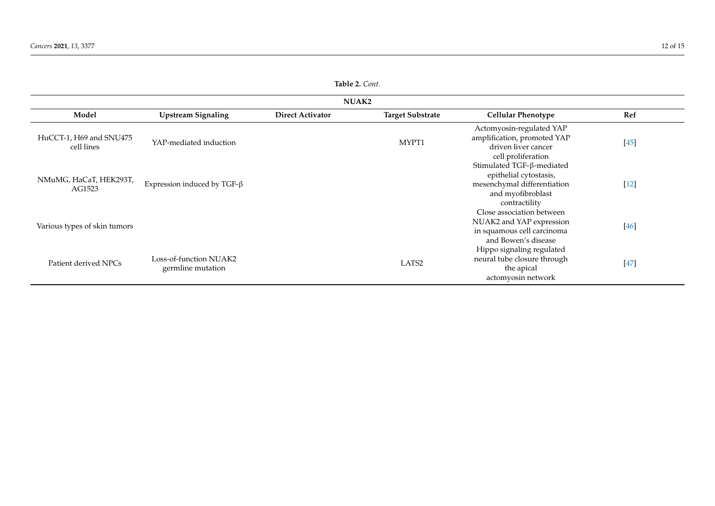<span id="page-12-0"></span>

| <b>NUAK2</b>                          |                                             |                         |                         |                                                                                                                          |        |
|---------------------------------------|---------------------------------------------|-------------------------|-------------------------|--------------------------------------------------------------------------------------------------------------------------|--------|
| Model                                 | <b>Upstream Signaling</b>                   | <b>Direct Activator</b> | <b>Target Substrate</b> | <b>Cellular Phenotype</b>                                                                                                | Ref    |
| HuCCT-1, H69 and SNU475<br>cell lines | YAP-mediated induction                      |                         | MYPT1                   | Actomyosin-regulated YAP<br>amplification, promoted YAP<br>driven liver cancer<br>cell proliferation                     | $[45]$ |
| NMuMG, HaCaT, HEK293T,<br>AG1523      | Expression induced by TGF- $\beta$          |                         |                         | Stimulated TGF-β-mediated<br>epithelial cytostasis,<br>mesenchymal differentiation<br>and myofibroblast<br>contractility | $[12]$ |
| Various types of skin tumors          |                                             |                         |                         | Close association between<br>NUAK2 and YAP expression<br>in squamous cell carcinoma<br>and Bowen's disease               | $[46]$ |
| Patient derived NPCs                  | Loss-of-function NUAK2<br>germline mutation |                         | LATS <sub>2</sub>       | Hippo signaling regulated<br>neural tube closure through<br>the apical<br>actomyosin network                             | $[47]$ |

**Table 2.** *Cont.*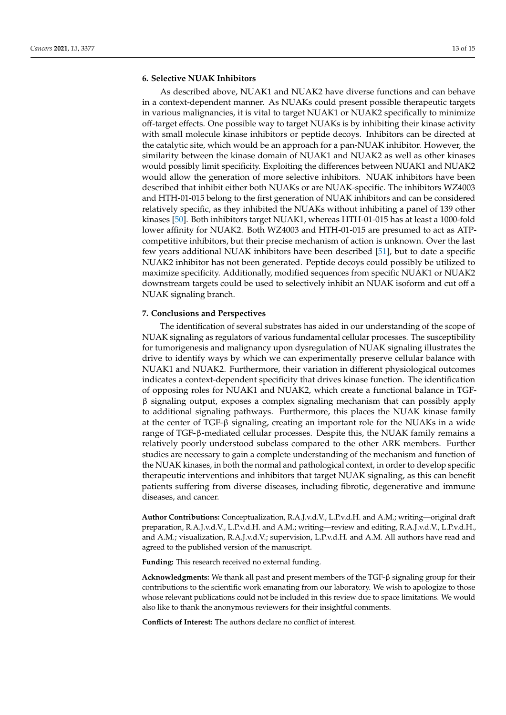#### **6. Selective NUAK Inhibitors**

As described above, NUAK1 and NUAK2 have diverse functions and can behave in a context-dependent manner. As NUAKs could present possible therapeutic targets in various malignancies, it is vital to target NUAK1 or NUAK2 specifically to minimize off-target effects. One possible way to target NUAKs is by inhibiting their kinase activity with small molecule kinase inhibitors or peptide decoys. Inhibitors can be directed at the catalytic site, which would be an approach for a pan-NUAK inhibitor. However, the similarity between the kinase domain of NUAK1 and NUAK2 as well as other kinases would possibly limit specificity. Exploiting the differences between NUAK1 and NUAK2 would allow the generation of more selective inhibitors. NUAK inhibitors have been described that inhibit either both NUAKs or are NUAK-specific. The inhibitors WZ4003 and HTH-01-015 belong to the first generation of NUAK inhibitors and can be considered relatively specific, as they inhibited the NUAKs without inhibiting a panel of 139 other kinases [\[50\]](#page-15-34). Both inhibitors target NUAK1, whereas HTH-01-015 has at least a 1000-fold lower affinity for NUAK2. Both WZ4003 and HTH-01-015 are presumed to act as ATPcompetitive inhibitors, but their precise mechanism of action is unknown. Over the last few years additional NUAK inhibitors have been described [\[51\]](#page-15-35), but to date a specific NUAK2 inhibitor has not been generated. Peptide decoys could possibly be utilized to maximize specificity. Additionally, modified sequences from specific NUAK1 or NUAK2 downstream targets could be used to selectively inhibit an NUAK isoform and cut off a NUAK signaling branch.

#### **7. Conclusions and Perspectives**

The identification of several substrates has aided in our understanding of the scope of NUAK signaling as regulators of various fundamental cellular processes. The susceptibility for tumorigenesis and malignancy upon dysregulation of NUAK signaling illustrates the drive to identify ways by which we can experimentally preserve cellular balance with NUAK1 and NUAK2. Furthermore, their variation in different physiological outcomes indicates a context-dependent specificity that drives kinase function. The identification of opposing roles for NUAK1 and NUAK2, which create a functional balance in TGF- $\beta$  signaling output, exposes a complex signaling mechanism that can possibly apply to additional signaling pathways. Furthermore, this places the NUAK kinase family at the center of TGF-β signaling, creating an important role for the NUAKs in a wide range of TGF-β-mediated cellular processes. Despite this, the NUAK family remains a relatively poorly understood subclass compared to the other ARK members. Further studies are necessary to gain a complete understanding of the mechanism and function of the NUAK kinases, in both the normal and pathological context, in order to develop specific therapeutic interventions and inhibitors that target NUAK signaling, as this can benefit patients suffering from diverse diseases, including fibrotic, degenerative and immune diseases, and cancer.

**Author Contributions:** Conceptualization, R.A.J.v.d.V., L.P.v.d.H. and A.M.; writing—original draft preparation, R.A.J.v.d.V., L.P.v.d.H. and A.M.; writing—review and editing, R.A.J.v.d.V., L.P.v.d.H., and A.M.; visualization, R.A.J.v.d.V.; supervision, L.P.v.d.H. and A.M. All authors have read and agreed to the published version of the manuscript.

**Funding:** This research received no external funding.

**Acknowledgments:** We thank all past and present members of the TGF-β signaling group for their contributions to the scientific work emanating from our laboratory. We wish to apologize to those whose relevant publications could not be included in this review due to space limitations. We would also like to thank the anonymous reviewers for their insightful comments.

**Conflicts of Interest:** The authors declare no conflict of interest.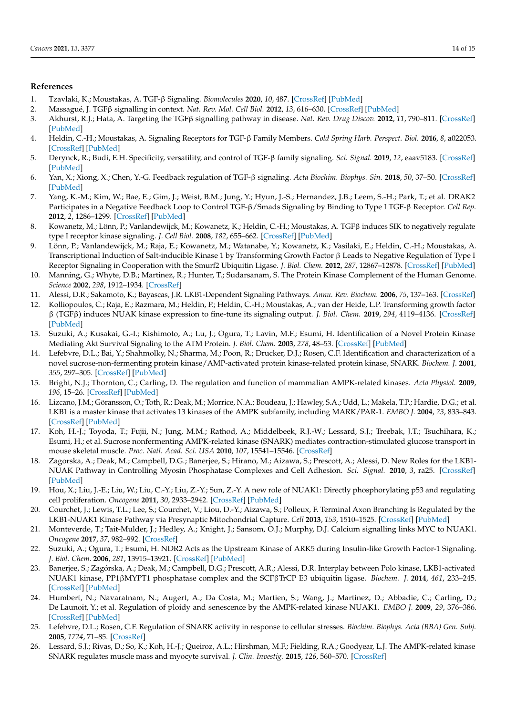#### <span id="page-14-34"></span>**References**

- <span id="page-14-0"></span>1. Tzavlaki, K.; Moustakas, A. TGF-β Signaling. *Biomolecules* **2020**, *10*, 487. [\[CrossRef\]](http://doi.org/10.3390/biom10030487) [\[PubMed\]](http://www.ncbi.nlm.nih.gov/pubmed/32210029)
- <span id="page-14-1"></span>2. Massagué, J. TGFβ signalling in context. *Nat. Rev. Mol. Cell Biol.* **2012**, *13*, 616–630. [\[CrossRef\]](http://doi.org/10.1038/nrm3434) [\[PubMed\]](http://www.ncbi.nlm.nih.gov/pubmed/22992590)
- <span id="page-14-26"></span><span id="page-14-2"></span>3. Akhurst, R.J.; Hata, A. Targeting the TGFβ signalling pathway in disease. *Nat. Rev. Drug Discov.* **2012**, *11*, 790–811. [\[CrossRef\]](http://doi.org/10.1038/nrd3810) [\[PubMed\]](http://www.ncbi.nlm.nih.gov/pubmed/23000686)
- <span id="page-14-35"></span><span id="page-14-3"></span>4. Heldin, C.-H.; Moustakas, A. Signaling Receptors for TGF-β Family Members. *Cold Spring Harb. Perspect. Biol.* **2016**, *8*, a022053. [\[CrossRef\]](http://doi.org/10.1101/cshperspect.a022053) [\[PubMed\]](http://www.ncbi.nlm.nih.gov/pubmed/27481709)
- <span id="page-14-4"></span>5. Derynck, R.; Budi, E.H. Specificity, versatility, and control of TGF-β family signaling. *Sci. Signal.* **2019**, *12*, eaav5183. [\[CrossRef\]](http://doi.org/10.1126/scisignal.aav5183) [\[PubMed\]](http://www.ncbi.nlm.nih.gov/pubmed/30808818)
- <span id="page-14-5"></span>6. Yan, X.; Xiong, X.; Chen, Y.-G. Feedback regulation of TGF-β signaling. *Acta Biochim. Biophys. Sin.* **2018**, *50*, 37–50. [\[CrossRef\]](http://doi.org/10.1093/abbs/gmx129) [\[PubMed\]](http://www.ncbi.nlm.nih.gov/pubmed/29228156)
- <span id="page-14-6"></span>7. Yang, K.-M.; Kim, W.; Bae, E.; Gim, J.; Weist, B.M.; Jung, Y.; Hyun, J.-S.; Hernandez, J.B.; Leem, S.-H.; Park, T.; et al. DRAK2 Participates in a Negative Feedback Loop to Control TGF-β/Smads Signaling by Binding to Type I TGF-β Receptor. *Cell Rep.* **2012**, *2*, 1286–1299. [\[CrossRef\]](http://doi.org/10.1016/j.celrep.2012.09.028) [\[PubMed\]](http://www.ncbi.nlm.nih.gov/pubmed/23122956)
- <span id="page-14-37"></span><span id="page-14-7"></span>8. Kowanetz, M.; Lönn, P.; Vanlandewijck, M.; Kowanetz, K.; Heldin, C.-H.; Moustakas, A. TGFβ induces SIK to negatively regulate type I receptor kinase signaling. *J. Cell Biol.* **2008**, *182*, 655–662. [\[CrossRef\]](http://doi.org/10.1083/jcb.200804107) [\[PubMed\]](http://www.ncbi.nlm.nih.gov/pubmed/18725536)
- <span id="page-14-29"></span><span id="page-14-8"></span>9. Lönn, P.; Vanlandewijck, M.; Raja, E.; Kowanetz, M.; Watanabe, Y.; Kowanetz, K.; Vasilaki, E.; Heldin, C.-H.; Moustakas, A. Transcriptional Induction of Salt-inducible Kinase 1 by Transforming Growth Factor β Leads to Negative Regulation of Type I Receptor Signaling in Cooperation with the Smurf2 Ubiquitin Ligase. *J. Biol. Chem.* **2012**, *287*, 12867–12878. [\[CrossRef\]](http://doi.org/10.1074/jbc.M111.307249) [\[PubMed\]](http://www.ncbi.nlm.nih.gov/pubmed/22378783)
- <span id="page-14-30"></span><span id="page-14-9"></span>10. Manning, G.; Whyte, D.B.; Martinez, R.; Hunter, T.; Sudarsanam, S. The Protein Kinase Complement of the Human Genome. *Science* **2002**, *298*, 1912–1934. [\[CrossRef\]](http://doi.org/10.1126/science.1075762)
- <span id="page-14-31"></span><span id="page-14-10"></span>11. Alessi, D.R.; Sakamoto, K.; Bayascas, J.R. LKB1-Dependent Signaling Pathways. *Annu. Rev. Biochem.* **2006**, *75*, 137–163. [\[CrossRef\]](http://doi.org/10.1146/annurev.biochem.75.103004.142702)
- <span id="page-14-33"></span><span id="page-14-11"></span>12. Kolliopoulos, C.; Raja, E.; Razmara, M.; Heldin, P.; Heldin, C.-H.; Moustakas, A.; van der Heide, L.P. Transforming growth factor β (TGFβ) induces NUAK kinase expression to fine-tune its signaling output. *J. Biol. Chem.* **2019**, *294*, 4119–4136. [\[CrossRef\]](http://doi.org/10.1074/jbc.RA118.004984) [\[PubMed\]](http://www.ncbi.nlm.nih.gov/pubmed/30622137)
- <span id="page-14-27"></span><span id="page-14-12"></span>13. Suzuki, A.; Kusakai, G.-I.; Kishimoto, A.; Lu, J.; Ogura, T.; Lavin, M.F.; Esumi, H. Identification of a Novel Protein Kinase Mediating Akt Survival Signaling to the ATM Protein. *J. Biol. Chem.* **2003**, *278*, 48–53. [\[CrossRef\]](http://doi.org/10.1074/jbc.M206025200) [\[PubMed\]](http://www.ncbi.nlm.nih.gov/pubmed/12409306)
- <span id="page-14-32"></span><span id="page-14-13"></span>14. Lefebvre, D.L.; Bai, Y.; Shahmolky, N.; Sharma, M.; Poon, R.; Drucker, D.J.; Rosen, C.F. Identification and characterization of a novel sucrose-non-fermenting protein kinase/AMP-activated protein kinase-related protein kinase, SNARK. *Biochem. J.* **2001**, *355*, 297–305. [\[CrossRef\]](http://doi.org/10.1042/bj3550297) [\[PubMed\]](http://www.ncbi.nlm.nih.gov/pubmed/11284715)
- <span id="page-14-28"></span><span id="page-14-14"></span>15. Bright, N.J.; Thornton, C.; Carling, D. The regulation and function of mammalian AMPK-related kinases. *Acta Physiol.* **2009**, *196*, 15–26. [\[CrossRef\]](http://doi.org/10.1111/j.1748-1716.2009.01971.x) [\[PubMed\]](http://www.ncbi.nlm.nih.gov/pubmed/19245655)
- <span id="page-14-36"></span><span id="page-14-15"></span>16. Lizcano, J.M.; Göransson, O.; Toth, R.; Deak, M.; Morrice, N.A.; Boudeau, J.; Hawley, S.A.; Udd, L.; Makela, T.P.; Hardie, D.G.; et al. LKB1 is a master kinase that activates 13 kinases of the AMPK subfamily, including MARK/PAR-1. *EMBO J.* **2004**, *23*, 833–843. [\[CrossRef\]](http://doi.org/10.1038/sj.emboj.7600110) [\[PubMed\]](http://www.ncbi.nlm.nih.gov/pubmed/14976552)
- <span id="page-14-38"></span><span id="page-14-16"></span>17. Koh, H.-J.; Toyoda, T.; Fujii, N.; Jung, M.M.; Rathod, A.; Middelbeek, R.J.-W.; Lessard, S.J.; Treebak, J.T.; Tsuchihara, K.; Esumi, H.; et al. Sucrose nonfermenting AMPK-related kinase (SNARK) mediates contraction-stimulated glucose transport in mouse skeletal muscle. *Proc. Natl. Acad. Sci. USA* **2010**, *107*, 15541–15546. [\[CrossRef\]](http://doi.org/10.1073/pnas.1008131107)
- <span id="page-14-17"></span>18. Zagorska, A.; Deak, M.; Campbell, D.G.; Banerjee, S.; Hirano, M.; Aizawa, S.; Prescott, A.; Alessi, D. New Roles for the LKB1- NUAK Pathway in Controlling Myosin Phosphatase Complexes and Cell Adhesion. *Sci. Signal.* **2010**, *3*, ra25. [\[CrossRef\]](http://doi.org/10.1126/scisignal.2000616) [\[PubMed\]](http://www.ncbi.nlm.nih.gov/pubmed/20354225)
- <span id="page-14-18"></span>19. Hou, X.; Liu, J.-E.; Liu, W.; Liu, C.-Y.; Liu, Z.-Y.; Sun, Z.-Y. A new role of NUAK1: Directly phosphorylating p53 and regulating cell proliferation. *Oncogene* **2011**, *30*, 2933–2942. [\[CrossRef\]](http://doi.org/10.1038/onc.2011.19) [\[PubMed\]](http://www.ncbi.nlm.nih.gov/pubmed/21317932)
- <span id="page-14-19"></span>20. Courchet, J.; Lewis, T.L.; Lee, S.; Courchet, V.; Liou, D.-Y.; Aizawa, S.; Polleux, F. Terminal Axon Branching Is Regulated by the LKB1-NUAK1 Kinase Pathway via Presynaptic Mitochondrial Capture. *Cell* **2013**, *153*, 1510–1525. [\[CrossRef\]](http://doi.org/10.1016/j.cell.2013.05.021) [\[PubMed\]](http://www.ncbi.nlm.nih.gov/pubmed/23791179)
- <span id="page-14-20"></span>21. Monteverde, T.; Tait-Mulder, J.; Hedley, A.; Knight, J.; Sansom, O.J.; Murphy, D.J. Calcium signalling links MYC to NUAK1. *Oncogene* **2017**, *37*, 982–992. [\[CrossRef\]](http://doi.org/10.1038/onc.2017.394)
- <span id="page-14-21"></span>22. Suzuki, A.; Ogura, T.; Esumi, H. NDR2 Acts as the Upstream Kinase of ARK5 during Insulin-like Growth Factor-1 Signaling. *J. Biol. Chem.* **2006**, *281*, 13915–13921. [\[CrossRef\]](http://doi.org/10.1074/jbc.M511354200) [\[PubMed\]](http://www.ncbi.nlm.nih.gov/pubmed/16488889)
- <span id="page-14-22"></span>23. Banerjee, S.; Zagórska, A.; Deak, M.; Campbell, D.G.; Prescott, A.R.; Alessi, D.R. Interplay between Polo kinase, LKB1-activated NUAK1 kinase, PP1βMYPT1 phosphatase complex and the SCFβTrCP E3 ubiquitin ligase. *Biochem. J.* **2014**, *461*, 233–245. [\[CrossRef\]](http://doi.org/10.1042/BJ20140408) [\[PubMed\]](http://www.ncbi.nlm.nih.gov/pubmed/24785407)
- <span id="page-14-23"></span>24. Humbert, N.; Navaratnam, N.; Augert, A.; Da Costa, M.; Martien, S.; Wang, J.; Martinez, D.; Abbadie, C.; Carling, D.; De Launoit, Y.; et al. Regulation of ploidy and senescence by the AMPK-related kinase NUAK1. *EMBO J.* **2009**, *29*, 376–386. [\[CrossRef\]](http://doi.org/10.1038/emboj.2009.342) [\[PubMed\]](http://www.ncbi.nlm.nih.gov/pubmed/19927127)
- <span id="page-14-24"></span>25. Lefebvre, D.L.; Rosen, C.F. Regulation of SNARK activity in response to cellular stresses. *Biochim. Biophys. Acta (BBA) Gen. Subj.* **2005**, *1724*, 71–85. [\[CrossRef\]](http://doi.org/10.1016/j.bbagen.2005.03.015)
- <span id="page-14-25"></span>26. Lessard, S.J.; Rivas, D.; So, K.; Koh, H.-J.; Queiroz, A.L.; Hirshman, M.F.; Fielding, R.A.; Goodyear, L.J. The AMPK-related kinase SNARK regulates muscle mass and myocyte survival. *J. Clin. Investig.* **2015**, *126*, 560–570. [\[CrossRef\]](http://doi.org/10.1172/JCI79197)